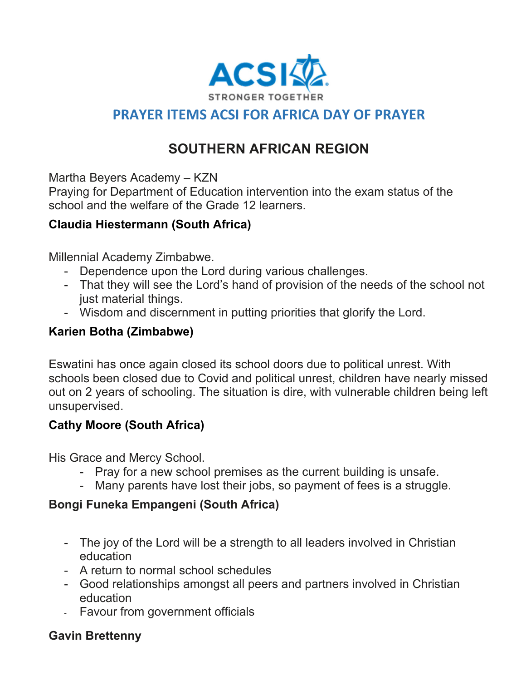

# **PRAYER ITEMS ACSI FOR AFRICA DAY OF PRAYER**

# **SOUTHERN AFRICAN REGION**

Martha Beyers Academy – KZN

Praying for Department of Education intervention into the exam status of the school and the welfare of the Grade 12 learners.

#### **Claudia Hiestermann (South Africa)**

Millennial Academy Zimbabwe.

- Dependence upon the Lord during various challenges.
- That they will see the Lord's hand of provision of the needs of the school not just material things.
- Wisdom and discernment in putting priorities that glorify the Lord.

#### **Karien Botha (Zimbabwe)**

Eswatini has once again closed its school doors due to political unrest. With schools been closed due to Covid and political unrest, children have nearly missed out on 2 years of schooling. The situation is dire, with vulnerable children being left unsupervised.

# **Cathy Moore (South Africa)**

His Grace and Mercy School.

- Pray for a new school premises as the current building is unsafe.
- Many parents have lost their jobs, so payment of fees is a struggle.

# **Bongi Funeka Empangeni (South Africa)**

- The joy of the Lord will be a strength to all leaders involved in Christian education
- A return to normal school schedules
- Good relationships amongst all peers and partners involved in Christian education
- Favour from government officials

# **Gavin Brettenny**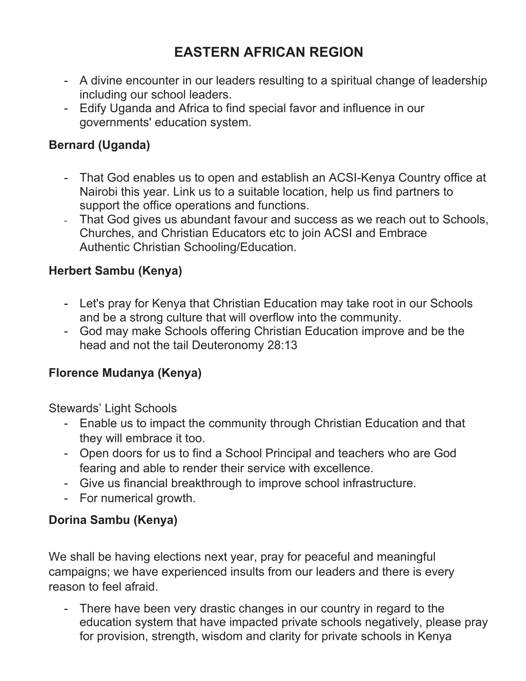# **EASTERN AFRICAN REGION**

- A divine encounter in our leaders resulting to a spiritual change of leadership including our school leaders.
- Edify Uganda and Africa to find special favor and influence in our governments' education system.

#### **Bernard (Uganda)**

- That God enables us to open and establish an ACSI-Kenya Country office at Nairobi this year. Link us to a suitable location, help us find partners to support the office operations and functions.
- That God gives us abundant favour and success as we reach out to Schools, Churches, and Christian Educators etc to join ACSI and Embrace Authentic Christian Schooling/Education.

#### **Herbert Sambu (Kenya)**

- Let's pray for Kenya that Christian Education may take root in our Schools and be a strong culture that will overflow into the community.
- God may make Schools offering Christian Education improve and be the head and not the tail Deuteronomy 28:13

#### **Florence Mudanya (Kenya)**

Stewards' Light Schools

- Enable us to impact the community through Christian Education and that they will embrace it too.
- Open doors for us to find a School Principal and teachers who are God fearing and able to render their service with excellence.
- Give us financial breakthrough to improve school infrastructure.
- For numerical growth.

#### **Dorina Sambu (Kenya)**

We shall be having elections next year, pray for peaceful and meaningful campaigns; we have experienced insults from our leaders and there is every reason to feel afraid.

- There have been very drastic changes in our country in regard to the education system that have impacted private schools negatively, please pray for provision, strength, wisdom and clarity for private schools in Kenya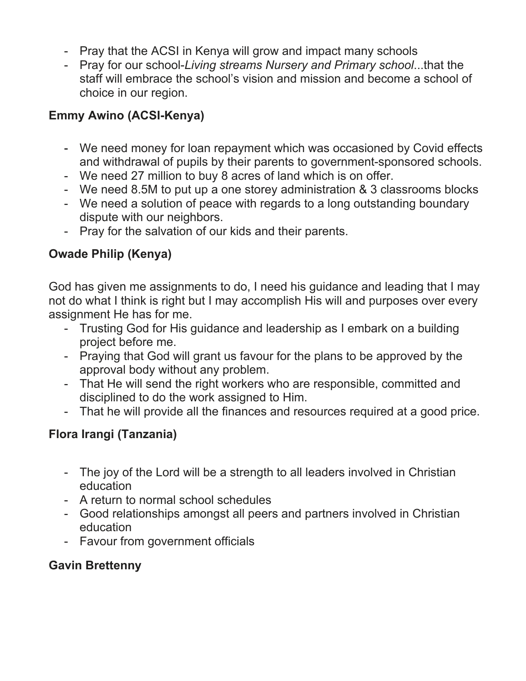- Pray that the ACSI in Kenya will grow and impact many schools
- Pray for our school-*Living streams Nursery and Primary school*...that the staff will embrace the school's vision and mission and become a school of choice in our region.

#### **Emmy Awino (ACSI-Kenya)**

- We need money for loan repayment which was occasioned by Covid effects and withdrawal of pupils by their parents to government-sponsored schools.
- We need 27 million to buy 8 acres of land which is on offer.
- We need 8.5M to put up a one storey administration & 3 classrooms blocks
- We need a solution of peace with regards to a long outstanding boundary dispute with our neighbors.
- Pray for the salvation of our kids and their parents.

#### **Owade Philip (Kenya)**

God has given me assignments to do, I need his guidance and leading that I may not do what I think is right but I may accomplish His will and purposes over every assignment He has for me.

- Trusting God for His guidance and leadership as I embark on a building project before me.
- Praying that God will grant us favour for the plans to be approved by the approval body without any problem.
- That He will send the right workers who are responsible, committed and disciplined to do the work assigned to Him.
- That he will provide all the finances and resources required at a good price.

# **Flora Irangi (Tanzania)**

- The joy of the Lord will be a strength to all leaders involved in Christian education
- A return to normal school schedules
- Good relationships amongst all peers and partners involved in Christian education
- Favour from government officials

#### **Gavin Brettenny**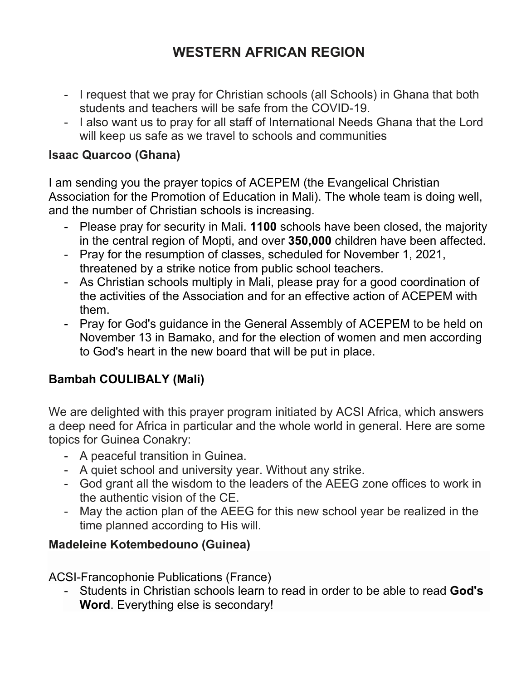# **WESTERN AFRICAN REGION**

- I request that we pray for Christian schools (all Schools) in Ghana that both students and teachers will be safe from the COVID-19.
- I also want us to pray for all staff of International Needs Ghana that the Lord will keep us safe as we travel to schools and communities

#### **Isaac Quarcoo (Ghana)**

I am sending you the prayer topics of ACEPEM (the Evangelical Christian Association for the Promotion of Education in Mali). The whole team is doing well, and the number of Christian schools is increasing.

- Please pray for security in Mali. **1100** schools have been closed, the majority in the central region of Mopti, and over **350,000** children have been affected.
- Pray for the resumption of classes, scheduled for November 1, 2021, threatened by a strike notice from public school teachers.
- As Christian schools multiply in Mali, please pray for a good coordination of the activities of the Association and for an effective action of ACEPEM with them.
- Pray for God's guidance in the General Assembly of ACEPEM to be held on November 13 in Bamako, and for the election of women and men according to God's heart in the new board that will be put in place.

# **Bambah COULIBALY (Mali)**

We are delighted with this prayer program initiated by ACSI Africa, which answers a deep need for Africa in particular and the whole world in general. Here are some topics for Guinea Conakry:

- A peaceful transition in Guinea.
- A quiet school and university year. Without any strike.
- God grant all the wisdom to the leaders of the AEEG zone offices to work in the authentic vision of the CE.
- May the action plan of the AEEG for this new school year be realized in the time planned according to His will.

#### **Madeleine Kotembedouno (Guinea)**

ACSI-Francophonie Publications (France)

- Students in Christian schools learn to read in order to be able to read **God's Word**. Everything else is secondary!